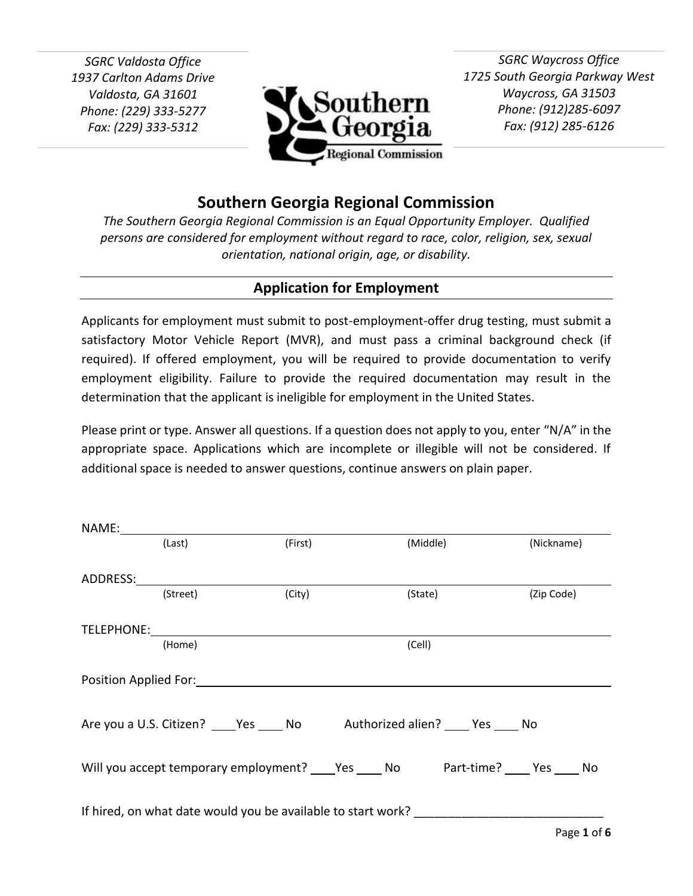*SGRC Valdosta Office 1937 Carlton Adams Drive Valdosta, GA 31601 Phone: (229) 333-5277 Fax: (229) 333-5312*



*SGRC Waycross Office 1725 South Georgia Parkway West Waycross, GA 31503 Phone: (912)285-6097 Fax: (912) 285-6126*

# **Southern Georgia Regional Commission**

*The Southern Georgia Regional Commission is an Equal Opportunity Employer. Qualified persons are considered for employment without regard to race, color, religion, sex, sexual orientation, national origin, age, or disability.*

## **Application for Employment**

Applicants for employment must submit to post-employment-offer drug testing, must submit a satisfactory Motor Vehicle Report (MVR), and must pass a criminal background check (if required). If offered employment, you will be required to provide documentation to verify employment eligibility. Failure to provide the required documentation may result in the determination that the applicant is ineligible for employment in the United States.

Please print or type. Answer all questions. If a question does not apply to you, enter "N/A" in the appropriate space. Applications which are incomplete or illegible will not be considered. If additional space is needed to answer questions, continue answers on plain paper.

| (Last)   | (First)                                                                                |        | (Middle) | (Nickname) |             |
|----------|----------------------------------------------------------------------------------------|--------|----------|------------|-------------|
|          |                                                                                        |        |          |            |             |
| (Street) | (City)                                                                                 |        | (State)  | (Zip Code) |             |
|          |                                                                                        |        |          |            |             |
| (Home)   |                                                                                        | (Cell) |          |            |             |
|          |                                                                                        |        |          |            |             |
|          | Are you a U.S. Citizen? _____ Yes _____ No ______ Authorized alien? _____ Yes _____ No |        |          |            |             |
|          |                                                                                        |        |          |            |             |
|          |                                                                                        |        |          |            |             |
|          |                                                                                        |        |          |            | Page 1 of 6 |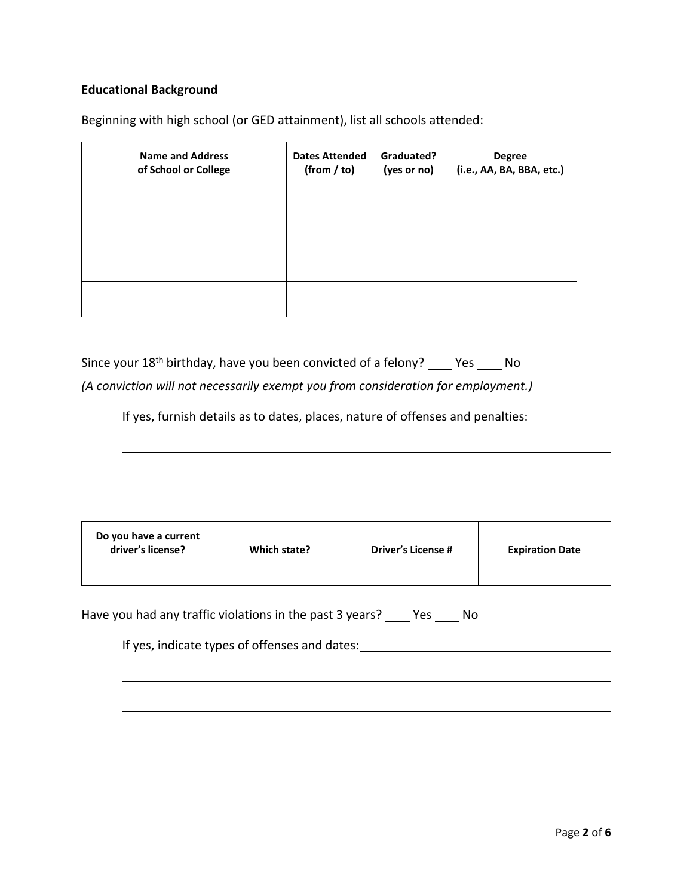### **Educational Background**

Beginning with high school (or GED attainment), list all schools attended:

| <b>Name and Address</b><br>of School or College | <b>Dates Attended</b><br>(from / to) | Graduated?<br>(yes or no) | <b>Degree</b><br>(i.e., AA, BA, BBA, etc.) |
|-------------------------------------------------|--------------------------------------|---------------------------|--------------------------------------------|
|                                                 |                                      |                           |                                            |
|                                                 |                                      |                           |                                            |
|                                                 |                                      |                           |                                            |
|                                                 |                                      |                           |                                            |

Since your  $18<sup>th</sup>$  birthday, have you been convicted of a felony?  $\_\_\_\$  Yes  $\_\_\_\$  No *(A conviction will not necessarily exempt you from consideration for employment.)*

If yes, furnish details as to dates, places, nature of offenses and penalties:

| Do you have a current<br>driver's license? | Which state? | <b>Driver's License #</b> | <b>Expiration Date</b> |
|--------------------------------------------|--------------|---------------------------|------------------------|
|                                            |              |                           |                        |

Have you had any traffic violations in the past 3 years? \_\_\_\_ Yes \_\_\_\_ No

If yes, indicate types of offenses and dates: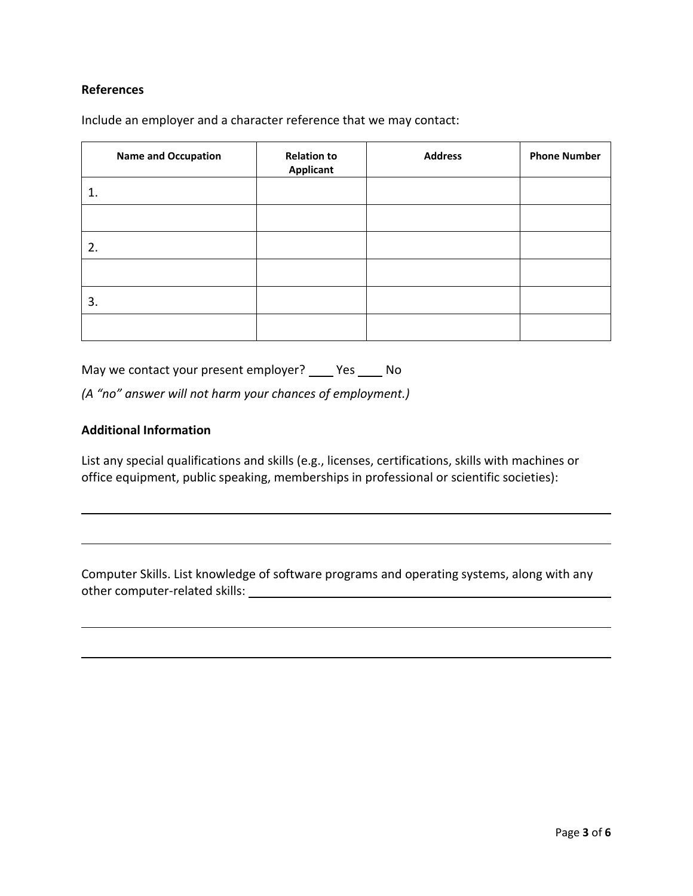#### **References**

Include an employer and a character reference that we may contact:

| <b>Name and Occupation</b> | <b>Relation to</b><br><b>Applicant</b> | <b>Address</b> | <b>Phone Number</b> |
|----------------------------|----------------------------------------|----------------|---------------------|
| 1.                         |                                        |                |                     |
|                            |                                        |                |                     |
| 2.                         |                                        |                |                     |
|                            |                                        |                |                     |
| 3.                         |                                        |                |                     |
|                            |                                        |                |                     |

May we contact your present employer? \_\_\_\_ Yes \_\_\_\_ No

*(A "no" answer will not harm your chances of employment.)*

#### **Additional Information**

List any special qualifications and skills (e.g., licenses, certifications, skills with machines or office equipment, public speaking, memberships in professional or scientific societies):

Computer Skills. List knowledge of software programs and operating systems, along with any other computer-related skills: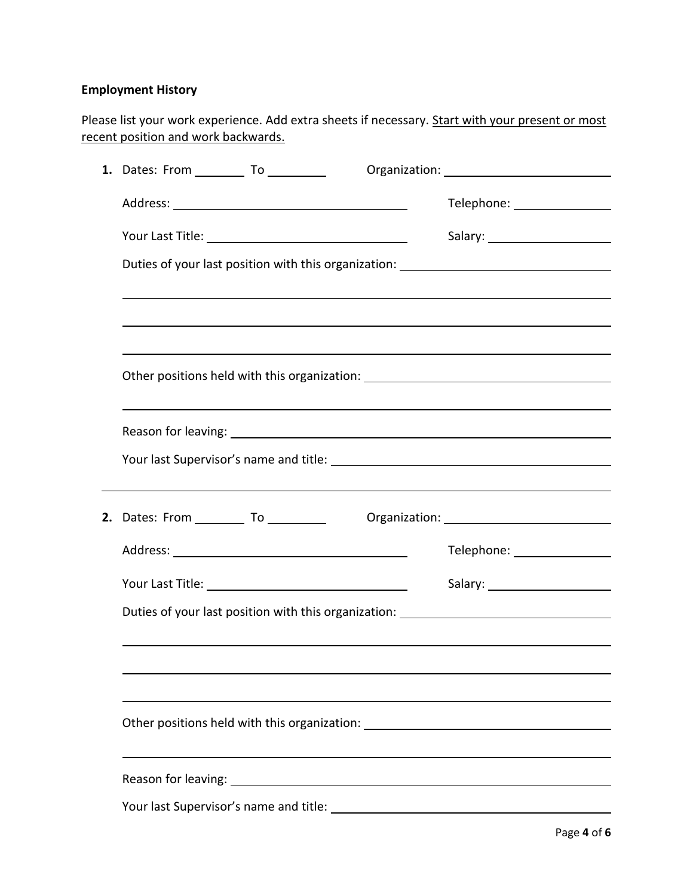### **Employment History**

Please list your work experience. Add extra sheets if necessary. Start with your present or most recent position and work backwards.

| 1. Dates: From ____________ To ___________                                       |                                                                                  |  |  |
|----------------------------------------------------------------------------------|----------------------------------------------------------------------------------|--|--|
|                                                                                  |                                                                                  |  |  |
|                                                                                  |                                                                                  |  |  |
|                                                                                  | Duties of your last position with this organization: ___________________________ |  |  |
|                                                                                  |                                                                                  |  |  |
|                                                                                  |                                                                                  |  |  |
|                                                                                  |                                                                                  |  |  |
|                                                                                  | Other positions held with this organization: ___________________________________ |  |  |
|                                                                                  |                                                                                  |  |  |
|                                                                                  |                                                                                  |  |  |
|                                                                                  |                                                                                  |  |  |
|                                                                                  |                                                                                  |  |  |
|                                                                                  |                                                                                  |  |  |
|                                                                                  |                                                                                  |  |  |
|                                                                                  |                                                                                  |  |  |
|                                                                                  | Duties of your last position with this organization: ___________________________ |  |  |
|                                                                                  |                                                                                  |  |  |
|                                                                                  |                                                                                  |  |  |
|                                                                                  |                                                                                  |  |  |
| Other positions held with this organization: ___________________________________ |                                                                                  |  |  |
|                                                                                  |                                                                                  |  |  |
|                                                                                  |                                                                                  |  |  |
|                                                                                  |                                                                                  |  |  |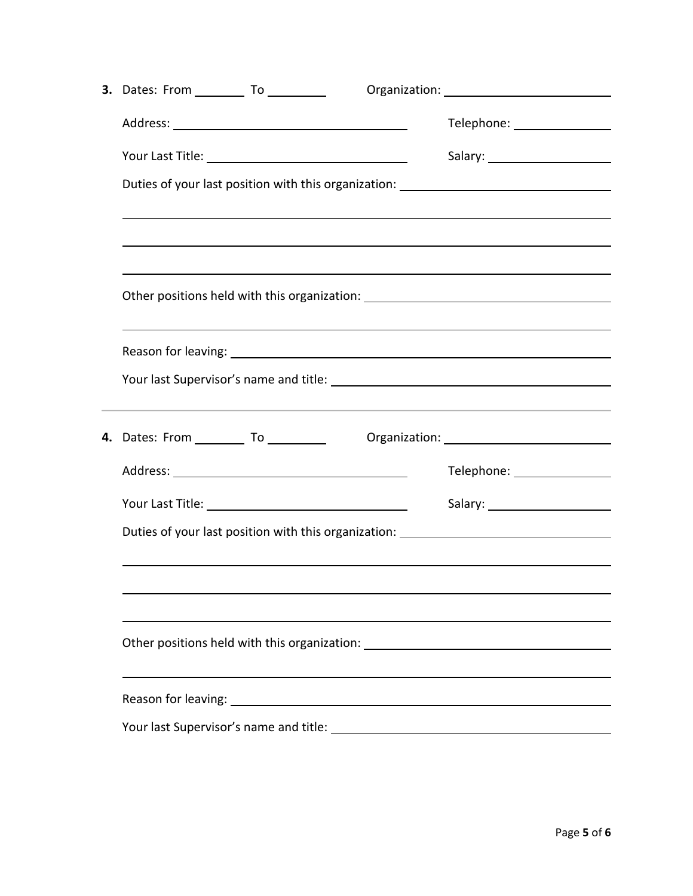| <b>3.</b> Dates: From __________ To __________                                                                                                                                                                                                                                                                                                                        |                                                                                                                                   |  |  |
|-----------------------------------------------------------------------------------------------------------------------------------------------------------------------------------------------------------------------------------------------------------------------------------------------------------------------------------------------------------------------|-----------------------------------------------------------------------------------------------------------------------------------|--|--|
|                                                                                                                                                                                                                                                                                                                                                                       | Telephone: _________________                                                                                                      |  |  |
|                                                                                                                                                                                                                                                                                                                                                                       |                                                                                                                                   |  |  |
| Duties of your last position with this organization: ___________________________                                                                                                                                                                                                                                                                                      |                                                                                                                                   |  |  |
|                                                                                                                                                                                                                                                                                                                                                                       |                                                                                                                                   |  |  |
|                                                                                                                                                                                                                                                                                                                                                                       |                                                                                                                                   |  |  |
|                                                                                                                                                                                                                                                                                                                                                                       | <u> 1980 - Andrea Andrew Maria (h. 1980).</u><br>Other positions held with this organization: ___________________________________ |  |  |
|                                                                                                                                                                                                                                                                                                                                                                       |                                                                                                                                   |  |  |
|                                                                                                                                                                                                                                                                                                                                                                       |                                                                                                                                   |  |  |
| ,我们也不能在这里的时候,我们也不能在这里的时候,我们也不能会在这里的时候,我们也不能会在这里的时候,我们也不能会在这里的时候,我们也不能会在这里的时候,我们也不<br><b>4.</b> Dates: From __________ To __________<br>Organization: New York Changes and Changes and Changes and Changes and Changes and Changes and Changes and Changes and Changes and Changes and Changes and Changes and Changes and Changes and Changes and Changes and Changes |                                                                                                                                   |  |  |
|                                                                                                                                                                                                                                                                                                                                                                       | Telephone: ________________                                                                                                       |  |  |
|                                                                                                                                                                                                                                                                                                                                                                       |                                                                                                                                   |  |  |
| Duties of your last position with this organization: ___________________________                                                                                                                                                                                                                                                                                      |                                                                                                                                   |  |  |
|                                                                                                                                                                                                                                                                                                                                                                       |                                                                                                                                   |  |  |
|                                                                                                                                                                                                                                                                                                                                                                       |                                                                                                                                   |  |  |
| Other positions held with this organization: ___________________________________                                                                                                                                                                                                                                                                                      |                                                                                                                                   |  |  |
| Reason for leaving: 1999 Contract and the set of the set of the set of the set of the set of the set of the set of the set of the set of the set of the set of the set of the set of the set of the set of the set of the set                                                                                                                                         |                                                                                                                                   |  |  |
|                                                                                                                                                                                                                                                                                                                                                                       |                                                                                                                                   |  |  |